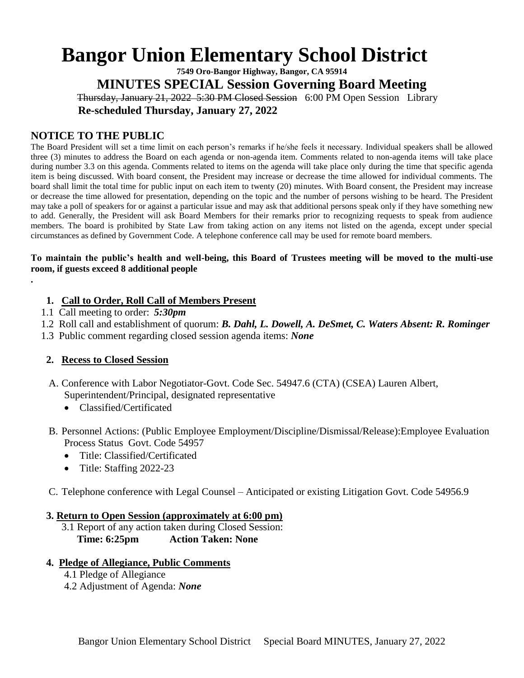# **Bangor Union Elementary School District**

**7549 Oro-Bangor Highway, Bangor, CA 95914 MINUTES SPECIAL Session Governing Board Meeting** Thursday, January 21, 2022 5:30 PM Closed Session 6:00 PM Open Session Library

 **Re-scheduled Thursday, January 27, 2022**

## **NOTICE TO THE PUBLIC**

The Board President will set a time limit on each person's remarks if he/she feels it necessary. Individual speakers shall be allowed three (3) minutes to address the Board on each agenda or non-agenda item. Comments related to non-agenda items will take place during number 3.3 on this agenda. Comments related to items on the agenda will take place only during the time that specific agenda item is being discussed. With board consent, the President may increase or decrease the time allowed for individual comments. The board shall limit the total time for public input on each item to twenty (20) minutes. With Board consent, the President may increase or decrease the time allowed for presentation, depending on the topic and the number of persons wishing to be heard. The President may take a poll of speakers for or against a particular issue and may ask that additional persons speak only if they have something new to add. Generally, the President will ask Board Members for their remarks prior to recognizing requests to speak from audience members. The board is prohibited by State Law from taking action on any items not listed on the agenda, except under special circumstances as defined by Government Code. A telephone conference call may be used for remote board members.

#### **To maintain the public's health and well-being, this Board of Trustees meeting will be moved to the multi-use room, if guests exceed 8 additional people**

## **1. Call to Order, Roll Call of Members Present**

1.1 Call meeting to order: *5:30pm*

**.**

- 1.2 Roll call and establishment of quorum: *B. Dahl, L. Dowell, A. DeSmet, C. Waters Absent: R. Rominger*
- 1.3 Public comment regarding closed session agenda items: *None*

## **2. Recess to Closed Session**

- A. Conference with Labor Negotiator-Govt. Code Sec. 54947.6 (CTA) (CSEA) Lauren Albert, Superintendent/Principal, designated representative
	- Classified/Certificated
- B. Personnel Actions: (Public Employee Employment/Discipline/Dismissal/Release):Employee Evaluation Process Status Govt. Code 54957
	- Title: Classified/Certificated
	- Title: Staffing 2022-23
- C. Telephone conference with Legal Counsel Anticipated or existing Litigation Govt. Code 54956.9

### **3. Return to Open Session (approximately at 6:00 pm)**

 3.1 Report of any action taken during Closed Session: **Time: 6:25pm Action Taken: None**

## **4. Pledge of Allegiance, Public Comments**

- 4.1 Pledge of Allegiance
- 4.2 Adjustment of Agenda: *None*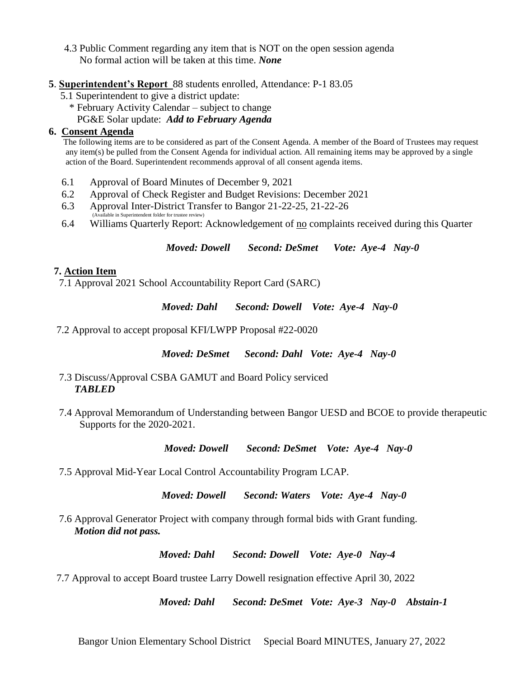- 4.3 Public Comment regarding any item that is NOT on the open session agenda No formal action will be taken at this time. *None*
- **5**. **Superintendent's Report** 88 students enrolled, Attendance: P-1 83.05
	- 5.1 Superintendent to give a district update:
		- \* February Activity Calendar subject to change PG&E Solar update: *Add to February Agenda*

## **6. Consent Agenda**

 The following items are to be considered as part of the Consent Agenda. A member of the Board of Trustees may request any item(s) be pulled from the Consent Agenda for individual action. All remaining items may be approved by a single action of the Board. Superintendent recommends approval of all consent agenda items.

- 6.1 Approval of Board Minutes of December 9, 2021
- 6.2 Approval of Check Register and Budget Revisions: December 2021
- 6.3 Approval Inter-District Transfer to Bangor 21-22-25, 21-22-26 (ble in Superintendent folder for trustee review)
- 6.4 Williams Quarterly Report: Acknowledgement of <u>no</u> complaints received during this Quarter

*Moved: Dowell Second: DeSmet Vote: Aye-4 Nay-0*

## **7. Action Item**

7.1 Approval 2021 School Accountability Report Card (SARC)

*Moved: Dahl Second: Dowell Vote: Aye-4 Nay-0*

7.2 Approval to accept proposal KFI/LWPP Proposal #22-0020

 *Moved: DeSmet Second: Dahl Vote: Aye-4 Nay-0*

- 7.3 Discuss/Approval CSBA GAMUT and Board Policy serviced *TABLED*
- 7.4 Approval Memorandum of Understanding between Bangor UESD and BCOE to provide therapeutic Supports for the 2020-2021.

 *Moved: Dowell Second: DeSmet Vote: Aye-4 Nay-0* 

7.5 Approval Mid-Year Local Control Accountability Program LCAP.

 *Moved: Dowell Second: Waters Vote: Aye-4 Nay-0*

 7.6 Approval Generator Project with company through formal bids with Grant funding. *Motion did not pass.*

*Moved: Dahl Second: Dowell Vote: Aye-0 Nay-4*

7.7 Approval to accept Board trustee Larry Dowell resignation effective April 30, 2022

 *Moved: Dahl Second: DeSmet Vote: Aye-3 Nay-0 Abstain-1*